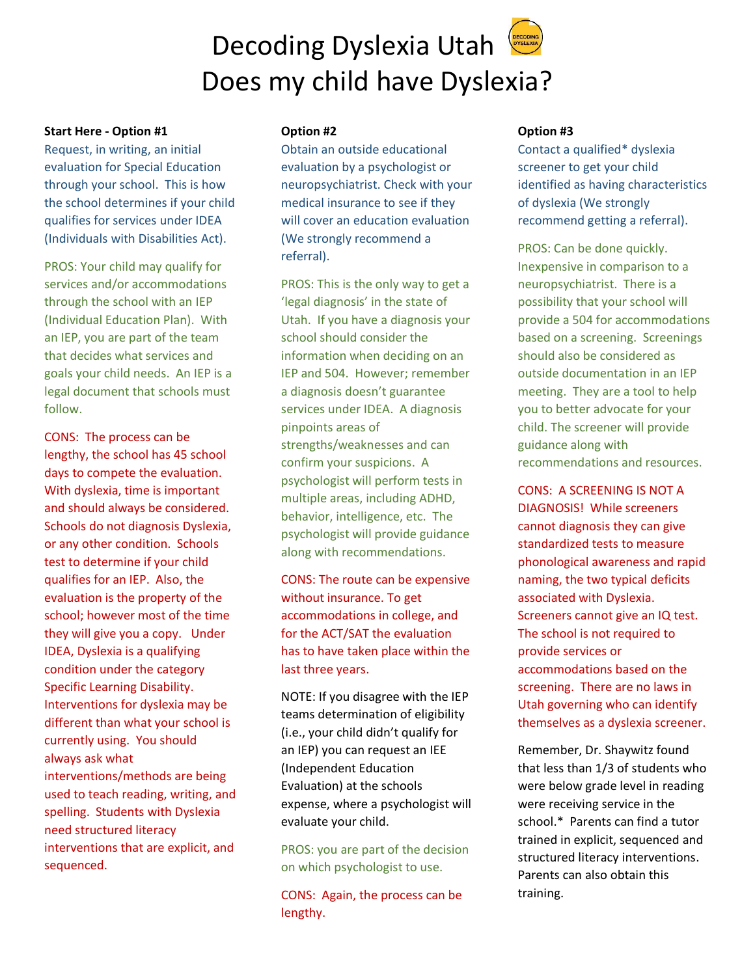## Decoding Dyslexia Utah Does my child have Dyslexia?

#### **Start Here - Option #1**

Request, in writing, an initial evaluation for Special Education through your school. This is how the school determines if your child qualifies for services under IDEA (Individuals with Disabilities Act).

PROS: Your child may qualify for services and/or accommodations through the school with an IEP (Individual Education Plan). With an IEP, you are part of the team that decides what services and goals your child needs. An IEP is a legal document that schools must follow.

CONS: The process can be lengthy, the school has 45 school days to compete the evaluation. With dyslexia, time is important and should always be considered. Schools do not diagnosis Dyslexia, or any other condition. Schools test to determine if your child qualifies for an IEP. Also, the evaluation is the property of the school; however most of the time they will give you a copy. Under IDEA, Dyslexia is a qualifying condition under the category Specific Learning Disability. Interventions for dyslexia may be different than what your school is currently using. You should always ask what interventions/methods are being used to teach reading, writing, and spelling. Students with Dyslexia need structured literacy interventions that are explicit, and sequenced.

#### **Option #2**

Obtain an outside educational evaluation by a psychologist or neuropsychiatrist. Check with your medical insurance to see if they will cover an education evaluation (We strongly recommend a referral).

PROS: This is the only way to get a 'legal diagnosis' in the state of Utah. If you have a diagnosis your school should consider the information when deciding on an IEP and 504. However; remember a diagnosis doesn't guarantee services under IDEA. A diagnosis pinpoints areas of strengths/weaknesses and can confirm your suspicions. A psychologist will perform tests in multiple areas, including ADHD, behavior, intelligence, etc. The psychologist will provide guidance along with recommendations.

CONS: The route can be expensive without insurance. To get accommodations in college, and for the ACT/SAT the evaluation has to have taken place within the last three years.

NOTE: If you disagree with the IEP teams determination of eligibility (i.e., your child didn't qualify for an IEP) you can request an IEE (Independent Education Evaluation) at the schools expense, where a psychologist will evaluate your child.

PROS: you are part of the decision on which psychologist to use.

CONS: Again, the process can be lengthy.

#### **Option #3**

Contact a qualified\* dyslexia screener to get your child identified as having characteristics of dyslexia (We strongly recommend getting a referral).

PROS: Can be done quickly. Inexpensive in comparison to a neuropsychiatrist. There is a possibility that your school will provide a 504 for accommodations based on a screening. Screenings should also be considered as outside documentation in an IEP meeting. They are a tool to help you to better advocate for your child. The screener will provide guidance along with recommendations and resources.

CONS: A SCREENING IS NOT A DIAGNOSIS! While screeners cannot diagnosis they can give standardized tests to measure phonological awareness and rapid naming, the two typical deficits associated with Dyslexia. Screeners cannot give an IQ test. The school is not required to provide services or accommodations based on the screening. There are no laws in Utah governing who can identify themselves as a dyslexia screener.

Remember, Dr. Shaywitz found that less than 1/3 of students who were below grade level in reading were receiving service in the school.\* Parents can find a tutor trained in explicit, sequenced and structured literacy interventions. Parents can also obtain this training.